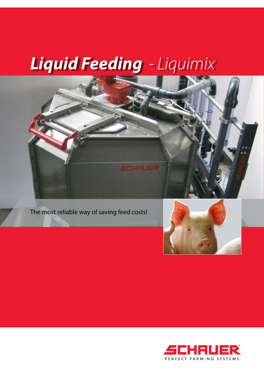# *Liquid Feeding - Liquimix*





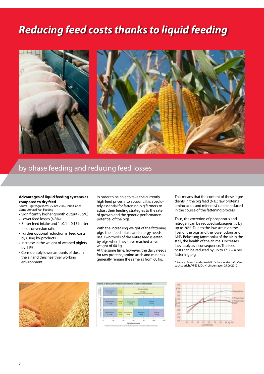## *Reducing feed costs thanks to liquid feeding*



### by phase feeding and reducing feed losses

#### **Advantages of liquid feeding systems as compared to dry feed**

Source: Pig Progress, Vol 25, N9, 2009, John Gadd: Computerized Wet Feeding

- • Significantly higher growth output (5.5%)
- Lower feed losses (4.8%)
- $\cdot$  Better feed intake and 1 : 0.1 0.15 better feed conversion ratio
- Further optional reduction in feed costs by using by-products
- Increase in the weight of weaned piglets by 11%
- • Considerably lower amounts of dust in the air and thus healthier working environment

In order to be able to take the currently high feed prices into account, it is absolutely essential for fattening pig farmers to adjust their feeding strategies to the rate of growth and the genetic performance potential of the pigs.

With the increasing weight of the fattening pigs, their feed intake and energy needs rise. Two thirds of the entire feed is eaten by pigs when they have reached a live weight of 60 kg.

At the same time, however, the daily needs for raw proteins, amino acids and minerals generally remain the same as from 60 kg.

This means that the content of these ingredients in the pig feed (N.B.: raw proteins, amino acids and minerals) can be reduced in the course of the fattening process.

Thus, the excretion of phosphorus and nitrogen can be reduced subsequently by up to 20%. Due to the low strain on the liver of the pigs and the lower odour and NH3-Belastung (ammonia) of the air in the stall, the health of the animals increases inevitably as a consequence. The feed costs can be reduced by up to  $\varepsilon$ \* 2 – 4 per fattening pig.

\* Source: Bayer. Landesanstalt für Landwirtschaft, Versuchsbericht VPS33, Dr. H. Lindemayer, 05.06.2012





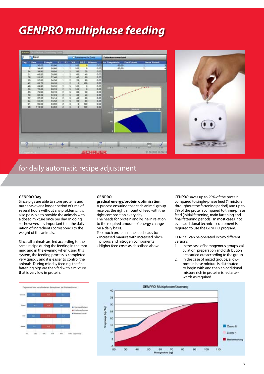## *GENPRO multiphase feeding*



### for daily automatic recipe adjustment

#### **GENPRO Day**

Since pigs are able to store proteins and nutrients over a longer period of time of several hours without any problems, it is also possible to provide the animals with a dosed mixture once per day. In doing so, however, it is important that the daily ration of ingredients corresponds to the weight of the animals.

Since all animals are fed according to the same recipe during the feeding in the morning and in the evening when using this system, the feeding process is completed very quickly and it is easier to control the animals. During midday feeding, the final fattening pigs are then fed with a mixture that is very low in protein.

#### **GENPRO**

#### **gradual energy/protein optimisation** A process ensuring that each animal group

receives the right amount of feed with the right composition every day. The needs for protein and lysine in relation to the required amount of energy change on a daily basis.

Too much protein in the feed leads to: • Increased manure with increased phos-

- phorus and nitrogen components
- • Higher feed costs as described above

GENPRO saves up to 29% of the protein compared to single-phase feed (1 mixture throughout the fattening period) and up to 7% of the protein compared to three-phase feed (initial fattening, main fattening and final fattening periods). In most cases, not even additional technical equipment is required to use the GENPRO program.

GENPRO can be operated in two different versions:

- 1. In the case of homogenous groups, calculation, preparation and distribution are carried out according to the group.
- 2. In the case of mixed groups, a lowprotein base mixture is distributed to begin with and then an additional mixture rich in proteins is fed afterwards as required.



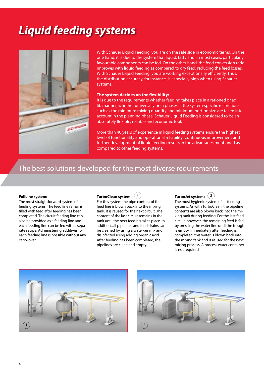## *Liquid feeding systems*



With Schauer Liquid Feeding, you are on the safe side in economic terms. On the one hand, it is due to the system that liquid, fatty and, in most cases, particularly favourable components can be fed. On the other hand, the feed conversion ratio improves with liquid feeding as compared to dry feed, reducing the feed losses. With Schauer Liquid Feeding, you are working exceptionally efficiently. Thus, the distribution accuracy, for instance, is especially high when using Schauer systems.

#### **The system decides on the flexibility:**

It is due to the requirements whether feeding takes place in a rationed or ad lib manner, whether universally or in phases. If the system-specific restrictions such as the minimum mixing quantity and minimum portion size are taken into account in the planning phase, Schauer Liquid Feeding is considered to be an absolutely flexible, reliable and economic tool.

More than 40 years of experience in liquid feeding systems ensure the highest level of functionality and operational reliability. Continuous improvement and further development of liquid feeding results in the advantages mentioned as compared to other feeding systems.

### The best solutions developed for the most diverse requirements

#### **FullLine system:**

The most straightforward system of all feeding systems. The feed line remains filled with feed after feeding has been completed. The circuit feeding line can also be provided as a feeding line and each feeding line can be fed with a separate recipe. Administering additives for each feeding line is possible without any carry-over.

**TurboClean system:** 1

For this system the pipe content of the feed line is blown back into the mixing tank. It is reused for the next circuit. The content of the last circuit remains in the tank until the next feeding takes place. In addition, all pipelines and feed drains can be cleaned by using a water-air mix and disinfected using adding organic acid. After feeding has been completed, the pipelines are clean and empty.

**TurboJet system:** 2

The most hygienic system of all feeding systems. As with TurboClean, the pipeline contents are also blown back into the mixing tank during feeding. For the last feed circuit, however, the remaining feed is fed by pressing the water line until the trough is empty. Immediately after feeding is completed, this water is blown back into the mixing tank and is reused for the next mixing process. A process water container is not required.



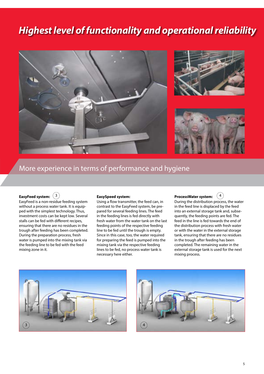## *Highest level of functionality and operational reliability*



### More experience in terms of performance and hygiene

#### **EasyFeed system:** 3

EasyFeed is a non-residue feeding system without a process water tank. It is equipped with the simplest technology. Thus, investment costs can be kept low. Several stalls can be fed with different recipes, ensuring that there are no residues in the trough after feeding has been completed. During the preparation process, fresh water is pumped into the mixing tank via the feeding line to be fed with the feed mixing zone in it.

#### **EasySpeed system:**

Using a flow transmitter, the feed can, in contrast to the EasyFeed system, be prepared for several feeding lines. The feed in the feeding lines is fed directly with fresh water from the water tank on the last feeding points of the respective feeding line to be fed until the trough is empty. Since in this case, too, the water required for preparing the feed is pumped into the mixing tank via the respective feeding lines to be fed, no process water tank is necessary here either.

#### **ProcessWater system:** 4

During the distribution process, the water in the feed line is displaced by the feed into an external storage tank and, subsequently, the feeding points are fed. The feed in the line is fed towards the end of the distribution process with fresh water or with the water in the external storage tank, ensuring that there are no residues in the trough after feeding has been completed. The remaining water in the external storage tank is used for the next mixing process.



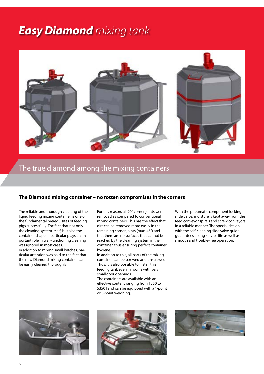## *Easy Diamond mixing tank*



### The true diamond among the mixing containers

#### **The Diamond mixing container – no rotten compromises in the corners**

The reliable and thorough cleaning of the liquid feeding mixing container is one of the fundamental prerequisites of feeding pigs successfully. The fact that not only the cleaning system itself, but also the container shape in particular plays an important role in well-functioning cleaning was ignored in most cases. In addition to mixing small batches, particular attention was paid to the fact that the new Diamond mixing container can be easily cleaned thoroughly.

For this reason, all 90° corner joints were removed as compared to conventional mixing containers. This has the effect that dirt can be removed more easily in the remaining corner joints (max. 45°) and that there are no surfaces that cannot be reached by the cleaning system in the container, thus ensuring perfect container hygiene.

In addition to this, all parts of the mixing container can be screwed and unscrewed. Thus, it is also possible to install this feeding tank even in rooms with very small door openings.

The containers are available with an effective content ranging from 1350 to 5350 l and can be equipped with a 1-point or 3-point weighing.

With the pneumatic component locking slide valve, moisture is kept away from the feed conveyor spirals and screw conveyors in a reliable manner. The special design with the self-cleaning slide valve guide guarantees a long service life as well as smooth and trouble-free operation.





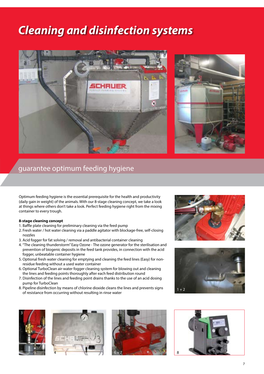## *Cleaning and disinfection systems*





### guarantee optimum feeding hygiene

Optimum feeding hygiene is the essential prerequisite for the health and productivity (daily gain in weight) of the animals. With our 8-stage cleaning concept, we take a look at things where others don't take a look. Perfect feeding hygiene right from the mixing container to every trough.

#### **8-stage cleaning concept**

- 1. Baffle plate cleaning for preliminary cleaning via the feed pump
- 2. Fresh water / hot water cleaning via a paddle agitator with blockage-free, self-closing nozzles
- 3. Acid fogger for fat solving / removal and antibacterial container cleaning
- 4. "The cleaning thunderstorm" Easy Ozone The ozone generator for the sterilisation and prevention of biogenic deposits in the feed tank provides, in connection with the acid fogger, unbeatable container hygiene
- 5. Optional fresh water cleaning for emptying and cleaning the feed lines (Easy) for nonresidue feeding without a used water container
- 6. Optional TurboClean air-water fogger cleaning system for blowing out and cleaning the lines and feeding points thoroughly after each feed distribution round
- 7. Disinfection of the lines and feeding point drains thanks to the use of an acid dosing pump for TurboClean
- 8. Pipeline disinfection by means of chlorine dioxide cleans the lines and prevents signs of resistance from occurring without resulting in rinse water











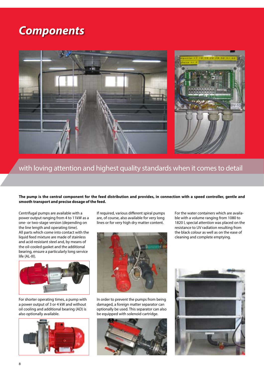## *Components*



### with loving attention and highest quality standards when it comes to detail

#### **The pump is the central component for the feed distribution and provides, in connection with a speed controller, gentle and smooth transport and precise dosage of the feed.**

Centrifugal pumps are available with a power output ranging from 4 to 11kW as a one- or two-stage version (depending on the line length and operating time). All parts which come into contact with the liquid feed mixture are made of stainless and acid-resistant steel and, by means of the oil-cooled gasket and the additional bearing, ensure a particularly long service life (AL-III).



For shorter operating times, a pump with a power output of 3 or 4 kW and without oil cooling and additional bearing (AD) is also optionally available.



If required, various different spiral pumps are, of course, also available for very long lines or for very high dry matter content.



In order to prevent the pumps from being damaged, a foreign matter separator can optionally be used. This separator can also be equipped with solenoid cartridge.



For the water containers which are available with a volume ranging from 1080 to 1820 l, special attention was placed on the resistance to UV radiation resulting from the black colour as well as on the ease of cleaning and complete emptying.

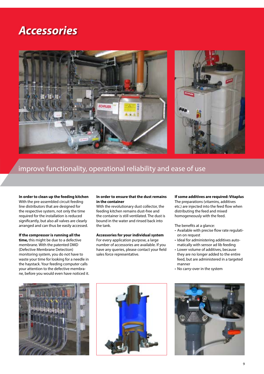## *Accessories*



### improve functionality, operational reliability and ease of use

**In order to clean up the feeding kitchen** With the pre-assembled circuit feeding line distributors that are designed for the respective system, not only the time required for the installation is reduced significantly, but also all valves are clearly arranged and can thus be easily accessed.

#### **If the compressor is running all the**

**time,** this might be due to a defective membrane. With the patented DMD (Defective Membrane Detection) monitoring system, you do not have to waste your time for looking for a needle in the haystack. Your feeding computer calls your attention to the defective membrane, before you would even have noticed it.

#### **In order to ensure that the dust remains in the container**

With the revolutionary dust collector, the feeding kitchen remains dust-free and the container is still ventilated. The dust is bound in the water and rinsed back into the tank.

#### **Accessories for your individual system**

For every application purpose, a large number of accessories are available. If you have any queries, please contact your field sales force representative.

#### **If some additives are required: Vitaplus**

The preparations (vitamins, additives etc.) are injected into the feed flow when distributing the feed and mixed homogeneously with the feed.

The benefits at a glance:

- • Available with precise flow rate regulation on request
- Ideal for administering additives automatically with sensor ad lib feeding
- Lower volume of additives, because they are no longer added to the entire feed, but are administered in a targeted manner
- • No carry-over in the system





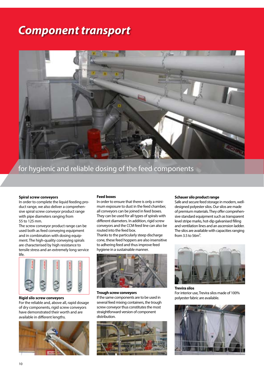## *Component transport*



for hygienic and reliable dosing of the feed components

#### **Spiral screw conveyors**

In order to complete the liquid feeding product range, we also deliver a comprehensive spiral screw conveyor product range with pipe diameters ranging from 55 to 125 mm.

The screw conveyor product range can be used both as feed conveying equipment and in combination with dosing equipment. The high-quality conveying spirals are characterised by high resistance to tensile stress and an extremely long service life.



#### **Rigid silo screw conveyors**

For the reliable and, above all, rapid dosage of dry components, rigid screw conveyors have demonstrated their worth and are available in different lengths.



#### **Feed boxes**

In order to ensure that there is only a minimum exposure to dust in the feed chamber, all conveyors can be joined in feed boxes. They can be used for all types of spirals with different diameters. In addition, rigid screw conveyors and the CCM feed line can also be routed into the feed box.

Thanks to the particularly steep discharge cone, these feed hoppers are also insensitive to adhering feed and thus improve feed hygiene in a sustainable manner.



#### **Trough screw conveyors**

If the same components are to be used in several feed mixing containers, the trough screw conveyor thus constitutes the most straightforward version of component distribution.



#### **Schauer silo product range**

Safe and secure feed storage in modern, welldesigned polyester silos. Our silos are made of premium materials. They offer comprehensive standard equipment such as transparent level stripe marks, hot-dip galvanised filling and ventilation lines and an ascension ladder. The silos are available with capacities ranging from 3.5 to  $56m^3$ .



**Trevira silos** For interior use, Trevira silos made of 100% polyester fabric are available.

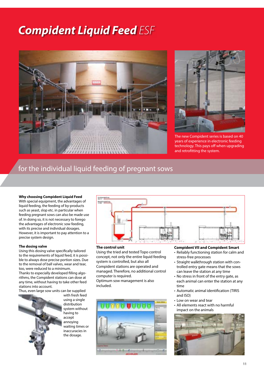## *Compident Liquid Feed ESF*





The new Compident series is based on 40 years of experience in electronic feeding technology. This pays off when upgrading and retrofitting the system.

### for the individual liquid feeding of pregnant sows

#### **Why choosing Compident Liquid Feed**

With special equipment, the advantages of liquid feeding, the feeding of by-products such as yeast, slop etc. in particular when feeding pregnant sows can also be made use of. In doing so, it is not necessary to forego the advantages of electronic sow feeding, with its precise and individual dosages. However, it is important to pay attention to a precise system design.

#### **The dosing valve**

Using this dosing valve specifically tailored to the requirements of liquid feed, it is possible to always dose precise portion sizes. Due to the removal of ball valves, wear and tear, too, were reduced to a minimum. Thanks to especially developed filling algorithms, the Compident stations can dose at any time, without having to take other feed stations into account.

Thus, even large sow units can be supplied



with fresh feed using a single distribution system without having to accept annoying waiting times or inaccuracies in the dosage.



#### **The control unit**

Using the tried and tested Topo control concept, not only the entire liquid feeding system is controlled, but also all Compident stations are operated and managed. Therefore, no additional control computer is required. Optimum sow management is also included.



#### **Compident VII and Compident Smart**

- • Reliably functioning station for calm and stress-free processes
- Straight walkthrough station with controlled entry gate means that the sows can leave the station at any time
- No stress in front of the entry gate, as each animal can enter the station at any time
- • Automatic animal identification (TIRIS and ISO)
- Low on wear and tear
- All elements react with no harmful impact on the animals

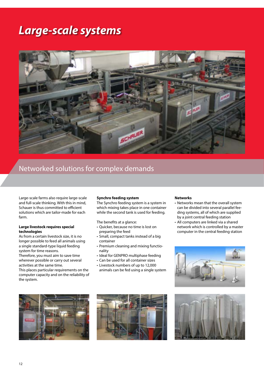## *Large-scale systems*



### Networked solutions for complex demands

Large-scale farms also require large-scale and full-scale thinking. With this in mind, Schauer is thus committed to efficient solutions which are tailor-made for each farm.

#### **Large livestock requires special technologies**

As from a certain livestock size, it is no longer possible to feed all animals using a single standard-type liquid feeding system for time reasons.

Therefore, you must aim to save time wherever possible or carry out several activities at the same time.

This places particular requirements on the computer capacity and on the reliability of the system.

#### **Synchro feeding system**

The Synchro feeding system is a system in which mixing takes place in one container while the second tank is used for feeding.

The benefits at a glance:

- • Quicker, because no time is lost on preparing the feed
- • Small, compact tanks instead of a big container
- Premium cleaning and mixing functionality
- Ideal for GENPRO multiphase feeding
- • Can be used for all container sizes
- • Livestock numbers of up to 12,000 animals can be fed using a single system

#### **Networks**

- • Networks mean that the overall system can be divided into several parallel feeding systems, all of which are supplied by a joint central feeding station
- All computers are linked via a shared network which is controlled by a master computer in the central feeding station







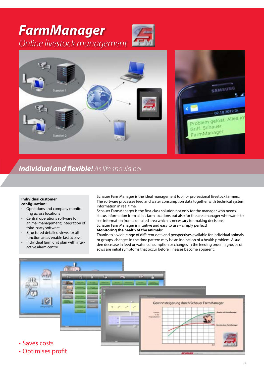

### *Individual and flexible! As life should be!*

#### **Individual customer configuration:**

- Operations and company monitoring across locations
- Central operations software for animal management; integration of third-party software
- Structured detailed views for all function areas enable fast access
- Individual farm unit plan with interactive alarm centre

Schauer FarmManager is the ideal management tool for professional livestock farmers. The software processes feed and water consumption data together with technical system information in real time.

Schauer FarmManager is the first-class solution not only for the manager who needs status information from all his farm locations but also for the area manager who wants to see information from a detailed area which is necessary for making decisions. Schauer FarmManager is intuitive and easy to use – simply perfect! **Monitoring the health of the animals:**

Thanks to a wide range of different data and perspectives available for individual animals or groups, changes in the time pattern may be an indication of a health problem. A sudden decrease in feed or water consumption or changes in the feeding order in groups of sows are initial symptoms that occur before illnesses become apparent.

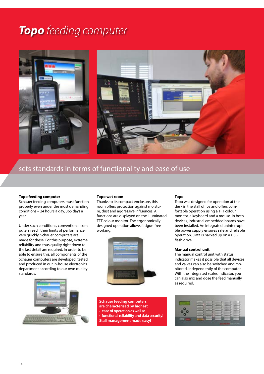## *Topo feeding computer*



### sets standards in terms of functionality and ease of use

#### **Topo feeding computer**

Schauer feeding computers must function properly even under the most demanding conditions – 24 hours a day, 365 days a year.

Under such conditions, conventional computers reach their limits of performance very quickly. Schauer computers are made for these. For this purpose, extreme reliability and thus quality right down to the last detail are required. In order to be able to ensure this, all components of the Schauer computers are developed, tested and produced in our in-house electronics department according to our own quality standards.

#### **Topo wet room**

Thanks to its compact enclosure, this room offers protection against moisture, dust and aggressive influences. All functions are displayed on the illuminated TFT colour monitor. The ergonomically designed operation allows fatigue-free working.





**Schauer feeding computers are characterised by highest • ease of operation as well as • functional reliability and data security! Stall management made easy!**

#### **Topo**

Topo was designed for operation at the desk in the stall office and offers comfortable operation using a TFT colour monitor, a keyboard and a mouse. In both devices, industrial embedded boards have been installed. An integrated uninterruptible power supply ensures safe and reliable operation. Data is backed up on a USB flash drive.

#### **Manual control unit**

The manual control unit with status indicator makes it possible that all devices and valves can also be switched and monitored, independently of the computer. With the integrated scales indicator, you can also mix and dose the feed manually as required.

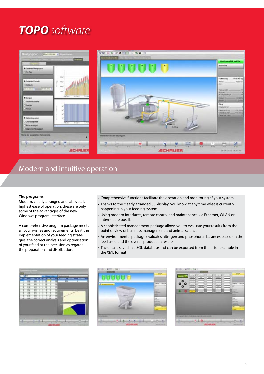## *TOPO software*



### Modern and intuitive operation

#### **The programs**

Modern, clearly arranged and, above all, highest ease of operation, these are only some of the advantages of the new Windows program interface.

A comprehensive program package meets all your wishes and requirements, be it the implementation of your feeding strategies, the correct analysis and optimisation of your feed or the precision as regards the preparation and distribution.

- • Comprehensive functions facilitate the operation and monitoring of your system
- Thanks to the clearly arranged 3D display, you know at any time what is currently happening in your feeding system
- • Using modern interfaces, remote control and maintenance via Ethernet, WLAN or internet are possible
- • A sophisticated management package allows you to evaluate your results from the point of view of business management and animal science
- • An environmental package evaluates nitrogen and phosphorus balances based on the feed used and the overall production results
- The data is saved in a SQL database and can be exported from there, for example in the XML format